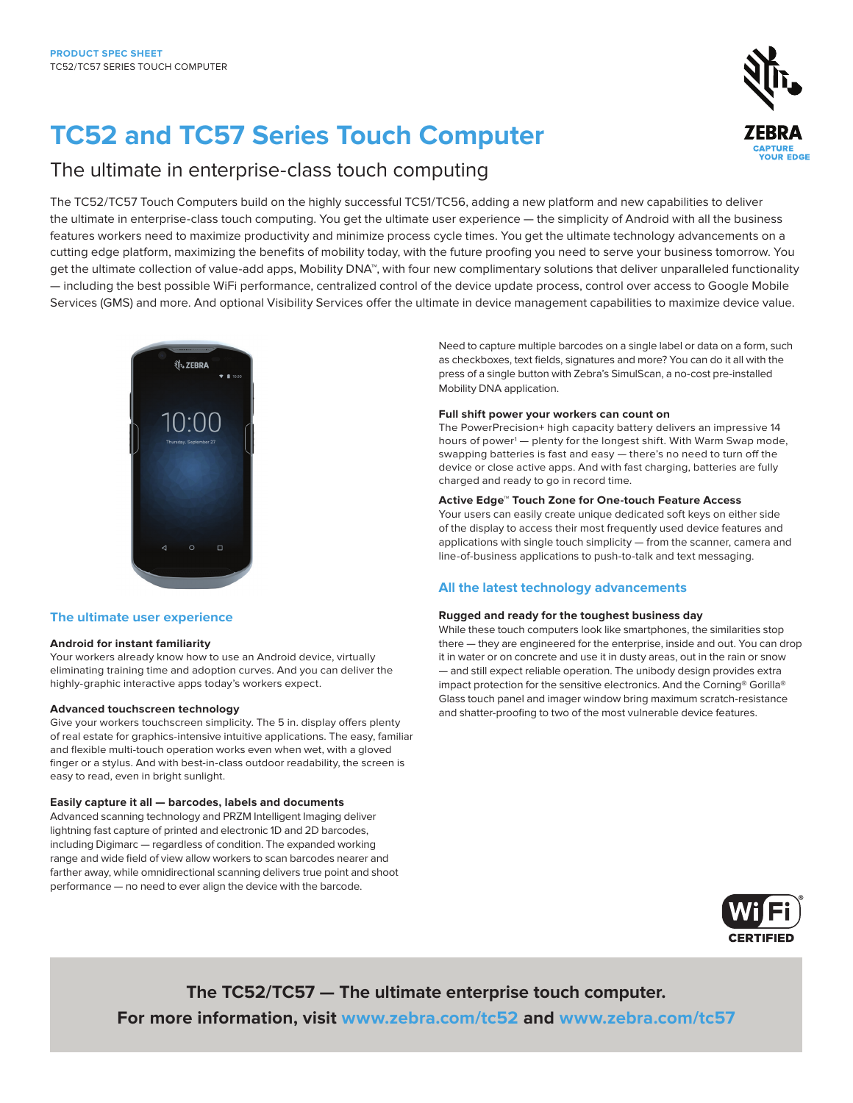# **TC52 and TC57 Series Touch Computer**

# The ultimate in enterprise-class touch computing

The TC52/TC57 Touch Computers build on the highly successful TC51/TC56, adding a new platform and new capabilities to deliver the ultimate in enterprise-class touch computing. You get the ultimate user experience — the simplicity of Android with all the business features workers need to maximize productivity and minimize process cycle times. You get the ultimate technology advancements on a cutting edge platform, maximizing the benefits of mobility today, with the future proofing you need to serve your business tomorrow. You get the ultimate collection of value-add apps, Mobility DNA™, with four new complimentary solutions that deliver unparalleled functionality — including the best possible WiFi performance, centralized control of the device update process, control over access to Google Mobile Services (GMS) and more. And optional Visibility Services offer the ultimate in device management capabilities to maximize device value.



# **The ultimate user experience**

#### **Android for instant familiarity**

Your workers already know how to use an Android device, virtually eliminating training time and adoption curves. And you can deliver the highly-graphic interactive apps today's workers expect.

#### **Advanced touchscreen technology**

Give your workers touchscreen simplicity. The 5 in. display offers plenty of real estate for graphics-intensive intuitive applications. The easy, familiar and flexible multi-touch operation works even when wet, with a gloved finger or a stylus. And with best-in-class outdoor readability, the screen is easy to read, even in bright sunlight.

#### **Easily capture it all — barcodes, labels and documents**

Advanced scanning technology and PRZM Intelligent Imaging deliver lightning fast capture of printed and electronic 1D and 2D barcodes, including Digimarc — regardless of condition. The expanded working range and wide field of view allow workers to scan barcodes nearer and farther away, while omnidirectional scanning delivers true point and shoot performance — no need to ever align the device with the barcode.

Need to capture multiple barcodes on a single label or data on a form, such as checkboxes, text fields, signatures and more? You can do it all with the press of a single button with Zebra's SimulScan, a no-cost pre-installed Mobility DNA application.

#### **Full shift power your workers can count on**

The PowerPrecision+ high capacity battery delivers an impressive 14 hours of power<sup>1</sup> — plenty for the longest shift. With Warm Swap mode, swapping batteries is fast and easy — there's no need to turn off the device or close active apps. And with fast charging, batteries are fully charged and ready to go in record time.

### **Active Edge™ Touch Zone for One-touch Feature Access**

Your users can easily create unique dedicated soft keys on either side of the display to access their most frequently used device features and applications with single touch simplicity — from the scanner, camera and line-of-business applications to push-to-talk and text messaging.

# **All the latest technology advancements**

#### **Rugged and ready for the toughest business day**

While these touch computers look like smartphones, the similarities stop there — they are engineered for the enterprise, inside and out. You can drop it in water or on concrete and use it in dusty areas, out in the rain or snow — and still expect reliable operation. The unibody design provides extra impact protection for the sensitive electronics. And the Corning® Gorilla® Glass touch panel and imager window bring maximum scratch-resistance and shatter-proofing to two of the most vulnerable device features.



**The TC52/TC57 — The ultimate enterprise touch computer. For more information, visit [www.zebra.com/tc52](http://www.zebra.com/tc52) and [www.zebra.com/tc57](http://www.zebra.com/tc57)**

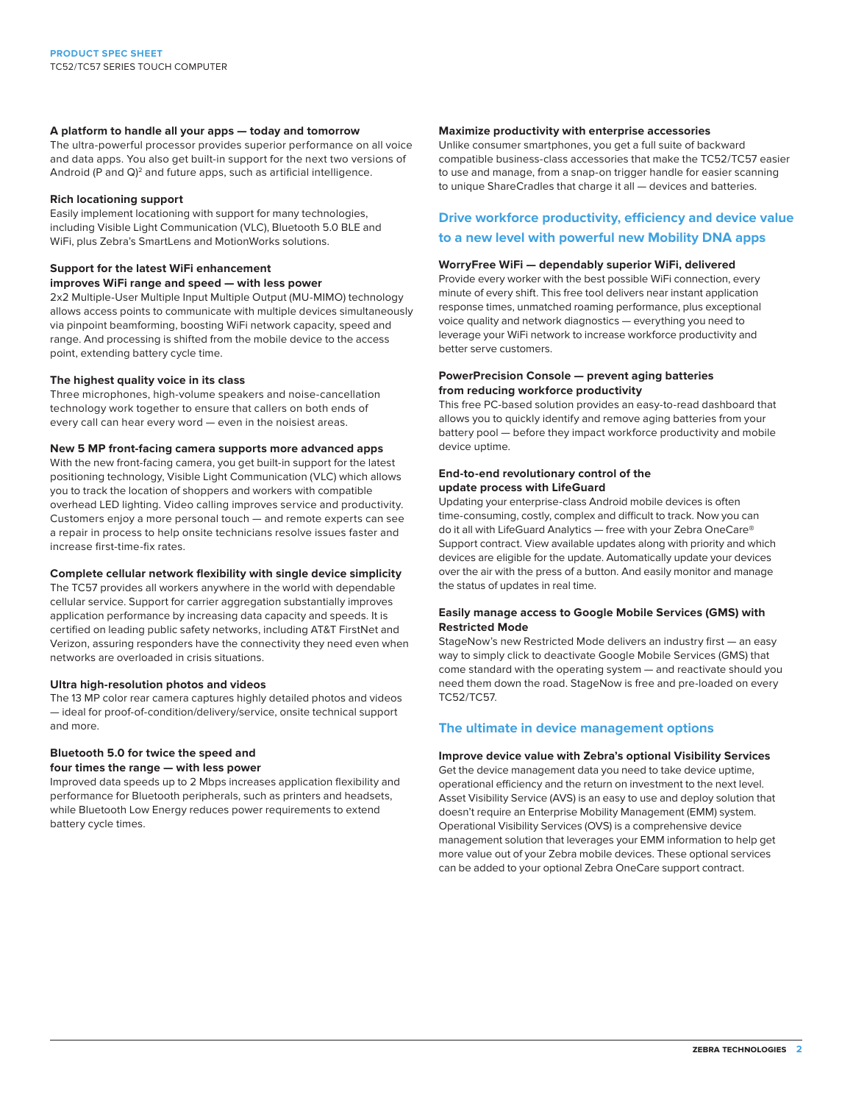#### **A platform to handle all your apps — today and tomorrow**

The ultra-powerful processor provides superior performance on all voice and data apps. You also get built-in support for the next two versions of Android (P and Q)<sup>2</sup> and future apps, such as artificial intelligence.

#### **Rich locationing support**

Easily implement locationing with support for many technologies, including Visible Light Communication (VLC), Bluetooth 5.0 BLE and WiFi, plus Zebra's SmartLens and MotionWorks solutions.

#### **Support for the latest WiFi enhancement**

**improves WiFi range and speed — with less power**

2x2 Multiple-User Multiple Input Multiple Output (MU-MIMO) technology allows access points to communicate with multiple devices simultaneously via pinpoint beamforming, boosting WiFi network capacity, speed and range. And processing is shifted from the mobile device to the access point, extending battery cycle time.

#### **The highest quality voice in its class**

Three microphones, high-volume speakers and noise-cancellation technology work together to ensure that callers on both ends of every call can hear every word — even in the noisiest areas.

### **New 5 MP front-facing camera supports more advanced apps**

With the new front-facing camera, you get built-in support for the latest positioning technology, Visible Light Communication (VLC) which allows you to track the location of shoppers and workers with compatible overhead LED lighting. Video calling improves service and productivity. Customers enjoy a more personal touch — and remote experts can see a repair in process to help onsite technicians resolve issues faster and increase first-time-fix rates.

### **Complete cellular network flexibility with single device simplicity**

The TC57 provides all workers anywhere in the world with dependable cellular service. Support for carrier aggregation substantially improves application performance by increasing data capacity and speeds. It is certified on leading public safety networks, including AT&T FirstNet and Verizon, assuring responders have the connectivity they need even when networks are overloaded in crisis situations.

#### **Ultra high-resolution photos and videos**

The 13 MP color rear camera captures highly detailed photos and videos — ideal for proof-of-condition/delivery/service, onsite technical support and more.

# **Bluetooth 5.0 for twice the speed and four times the range — with less power**

Improved data speeds up to 2 Mbps increases application flexibility and performance for Bluetooth peripherals, such as printers and headsets, while Bluetooth Low Energy reduces power requirements to extend battery cycle times.

#### **Maximize productivity with enterprise accessories**

Unlike consumer smartphones, you get a full suite of backward compatible business-class accessories that make the TC52/TC57 easier to use and manage, from a snap-on trigger handle for easier scanning to unique ShareCradles that charge it all — devices and batteries.

# **Drive workforce productivity, efficiency and device value to a new level with powerful new Mobility DNA apps**

#### **WorryFree WiFi — dependably superior WiFi, delivered**

Provide every worker with the best possible WiFi connection, every minute of every shift. This free tool delivers near instant application response times, unmatched roaming performance, plus exceptional voice quality and network diagnostics — everything you need to leverage your WiFi network to increase workforce productivity and better serve customers.

#### **PowerPrecision Console — prevent aging batteries from reducing workforce productivity**

This free PC-based solution provides an easy-to-read dashboard that allows you to quickly identify and remove aging batteries from your battery pool — before they impact workforce productivity and mobile device uptime.

#### **End-to-end revolutionary control of the update process with LifeGuard**

Updating your enterprise-class Android mobile devices is often time-consuming, costly, complex and difficult to track. Now you can do it all with LifeGuard Analytics — free with your Zebra OneCare® Support contract. View available updates along with priority and which devices are eligible for the update. Automatically update your devices over the air with the press of a button. And easily monitor and manage the status of updates in real time.

### **Easily manage access to Google Mobile Services (GMS) with Restricted Mode**

StageNow's new Restricted Mode delivers an industry first — an easy way to simply click to deactivate Google Mobile Services (GMS) that come standard with the operating system — and reactivate should you need them down the road. StageNow is free and pre-loaded on every TC52/TC57.

# **The ultimate in device management options**

#### **Improve device value with Zebra's optional Visibility Services**

Get the device management data you need to take device uptime, operational efficiency and the return on investment to the next level. Asset Visibility Service (AVS) is an easy to use and deploy solution that doesn't require an Enterprise Mobility Management (EMM) system. Operational Visibility Services (OVS) is a comprehensive device management solution that leverages your EMM information to help get more value out of your Zebra mobile devices. These optional services can be added to your optional Zebra OneCare support contract.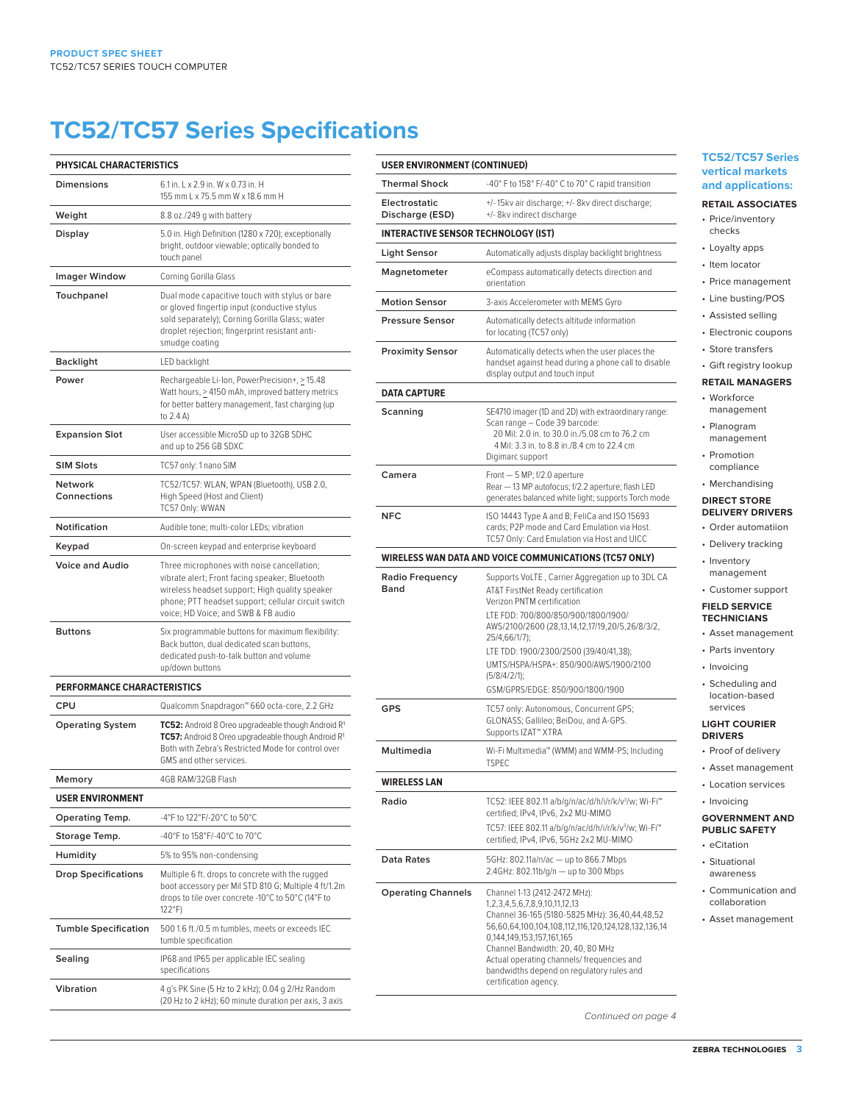# **TC52/TC57 Series Specifications**

| <b>PHYSICAL CHARACTERISTICS</b>    |                                                                                                                                                                                                                                              |
|------------------------------------|----------------------------------------------------------------------------------------------------------------------------------------------------------------------------------------------------------------------------------------------|
| Dimensions                         | 6.1 in. L x 2.9 in. W x 0.73 in. H<br>155 mm L x 75.5 mm W x 18.6 mm H                                                                                                                                                                       |
| Weight                             | 8.8 oz./249 g with battery                                                                                                                                                                                                                   |
| Display                            | 5.0 in. High Definition (1280 x 720); exceptionally<br>bright, outdoor viewable; optically bonded to<br>touch panel                                                                                                                          |
| <b>Imager Window</b>               | Corning Gorilla Glass                                                                                                                                                                                                                        |
| Touchpanel                         | Dual mode capacitive touch with stylus or bare<br>or gloved fingertip input (conductive stylus<br>sold separately); Corning Gorilla Glass; water<br>droplet rejection; fingerprint resistant anti-<br>smudge coating                         |
| <b>Backlight</b>                   | LED backlight                                                                                                                                                                                                                                |
| Power                              | Rechargeable Li-Ion, PowerPrecision+, > 15.48<br>Watt hours, $\geq 4150$ mAh, improved battery metrics<br>for better battery management, fast charging (up<br>to 2.4 A)                                                                      |
| <b>Expansion Slot</b>              | User accessible MicroSD up to 32GB SDHC<br>and up to 256 GB SDXC                                                                                                                                                                             |
| <b>SIM Slots</b>                   | TC57 only: 1 nano SIM                                                                                                                                                                                                                        |
| <b>Network</b><br>Connections      | TC52/TC57: WLAN, WPAN (Bluetooth), USB 2.0,<br>High Speed (Host and Client)<br>TC57 Only: WWAN                                                                                                                                               |
| Notification                       | Audible tone; multi-color LEDs; vibration                                                                                                                                                                                                    |
| Keypad                             | On-screen keypad and enterprise keyboard                                                                                                                                                                                                     |
| <b>Voice and Audio</b>             | Three microphones with noise cancellation;<br>vibrate alert; Front facing speaker; Bluetooth<br>wireless headset support; High quality speaker<br>phone; PTT headset support; cellular circuit switch<br>voice; HD Voice; and SWB & FB audio |
| <b>Buttons</b>                     | Six programmable buttons for maximum flexibility:<br>Back button, dual dedicated scan buttons,<br>dedicated push-to-talk button and volume<br>up/down buttons                                                                                |
| <b>PERFORMANCE CHARACTERISTICS</b> |                                                                                                                                                                                                                                              |
| CPU                                | Qualcomm Snapdragon™ 660 octa-core, 2.2 GHz                                                                                                                                                                                                  |
| <b>Operating System</b>            | TC52: Android 8 Oreo upgradeable though Android R <sup>1</sup><br>TC57: Android 8 Oreo upgradeable though Android R1<br>Both with Zebra's Restricted Mode for control over<br>GMS and other services.                                        |
| Memory                             | 4GB RAM/32GB Flash                                                                                                                                                                                                                           |
| <b>USER ENVIRONMENT</b>            |                                                                                                                                                                                                                                              |
| Operating Temp.                    | -4°F to 122°F/-20°C to 50°C                                                                                                                                                                                                                  |
| Storage Temp.                      | -40°F to 158°F/-40°C to 70°C                                                                                                                                                                                                                 |
| Humidity                           | 5% to 95% non-condensing                                                                                                                                                                                                                     |
| <b>Drop Specifications</b>         | Multiple 6 ft. drops to concrete with the rugged<br>boot accessory per Mil STD 810 G; Multiple 4 ft/1.2m<br>drops to tile over concrete -10°C to 50°C (14°F to<br>122°F)                                                                     |
| <b>Tumble Specification</b>        | 500 1.6 ft./0.5 m tumbles, meets or exceeds IEC<br>tumble specification                                                                                                                                                                      |
| Sealing                            | IP68 and IP65 per applicable IEC sealing<br>specifications                                                                                                                                                                                   |
| Vibration                          | 4 g's PK Sine (5 Hz to 2 kHz); 0.04 g 2/Hz Random<br>(20 Hz to 2 kHz); 60 minute duration per axis, 3 axis                                                                                                                                   |

#### **USER ENVIRONMENT (CONTINUED) Thermal Shock** -40° F to 158° F/-40° C to 70° C rapid transition **Electrostatic Discharge (ESD)** +/- 15kv air discharge; +/- 8kv direct discharge; +/- 8kv indirect discharge **INTERACTIVE SENSOR TECHNOLOGY (IST) Light Sensor** Automatically adjusts display backlight brightness **Magnetometer** eCompass automatically detects direction and orientation **Motion Sensor** 3-axis Accelerometer with MEMS Gyro **Pressure Sensor** Automatically detects altitude information for locating (TC57 only) **Proximity Sensor** Automatically detects when the user places the handset against head during a phone call to disable display output and touch input **DATA CAPTURE Scanning** SE4710 imager (1D and 2D) with extraordinary range: Scan range – Code 39 barcode: 20 Mil: 2.0 in. to 30.0 in./5.08 cm to 76.2 cm 4 Mil: 3.3 in. to 8.8 in./8.4 cm to 22.4 cm Digimarc support **Camera** Front — 5 MP; f/2.0 aperture Rear — 13 MP autofocus; f/2.2 aperture; flash LED generates balanced white light; supports Torch mode **NFC** ISO 14443 Type A and B; FeliCa and ISO 15693 cards; P2P mode and Card Emulation via Host. TC57 Only: Card Emulation via Host and UICC **WIRELESS WAN DATA AND VOICE COMMUNICATIONS (TC57 ONLY) Radio Frequency Band** Supports VoLTE , Carrier Aggregation up to 3DL CA AT&T FirstNet Ready certification Verizon PNTM certification LTE FDD: 700/800/850/900/1800/1900/ AWS/2100/2600 (28,13,14,12,17/19,20/5,26/8/3/2, 25/4,66/1/7); LTE TDD: 1900/2300/2500 (39/40/41,38); UMTS/HSPA/HSPA+: 850/900/AWS/1900/2100 (5/8/4/2/1); GSM/GPRS/EDGE: 850/900/1800/1900 GPS TC57 only: Autonomous, Concurrent GPS; GLONASS; Gallileo; BeiDou, and A-GPS. Supports IZAT™ XTRA **Multimedia** Wi-Fi Multimedia™ (WMM) and WMM-PS; Including **TSPEC WIRELESS LAN Radio** TC52: IEEE 802.11 a/b/g/n/ac/d/h/i/r/k/v<sup>3</sup>/w; Wi-Fi<sup>™</sup> certified; IPv4, IPv6, 2x2 MU-MIMO TC57: IEEE 802.11 a/b/g/n/ac/d/h/i/r/k/v3 /w; Wi-Fi™ certified; IPv4, IPv6, 5GHz 2x2 MU-MIMO **Data Rates** 5GHz: 802.11a/n/ac - up to 866.7 Mbps 2.4GHz: 802.11b/g/n — up to 300 Mbps **Operating Channels** Channel 1-13 (2412-2472 MHz): 1,2,3,4,5,6,7,8,9,10,11,12,13 Channel 36-165 (5180-5825 MHz): 36,40,44,48,52 56,60,64,100,104,108,112,116,120,124,128,132,136,14 0,144,149,153,157,161,165 Channel Bandwidth: 20, 40, 80 MHz Actual operating channels/ frequencies and bandwidths depend on regulatory rules and certification agency.

#### **TC52/TC57 Series vertical markets and applications:**

#### **RETAIL ASSOCIATES**

- Price/inventory checks
	- Loyalty apps
	- Item locator
	- Price management
	- Line busting/POS
	- Assisted selling
	- Electronic coupons
	- Store transfers

## • Gift registry lookup

#### **RETAIL MANAGERS**

- Workforce management
- Planogram management
- **Promotion**
- compliance • Merchandising

# **DIRECT STORE**

#### **DELIVERY DRIVERS**

- Order automatiion
- Delivery tracking
- Inventory management
- Customer support

#### **FIELD SERVICE TECHNICIANS**

- Asset management
- Parts inventory
- Invoicing
- Scheduling and location-based services

#### **LIGHT COURIER DRIVERS**

- 
- Proof of delivery

#### • Asset management • Location services

- Invoicing
- 

#### **GOVERNMENT AND PUBLIC SAFETY**

- eCitation
- Situational awareness
- Communication and collaboration
- Asset management

Continued on page 4